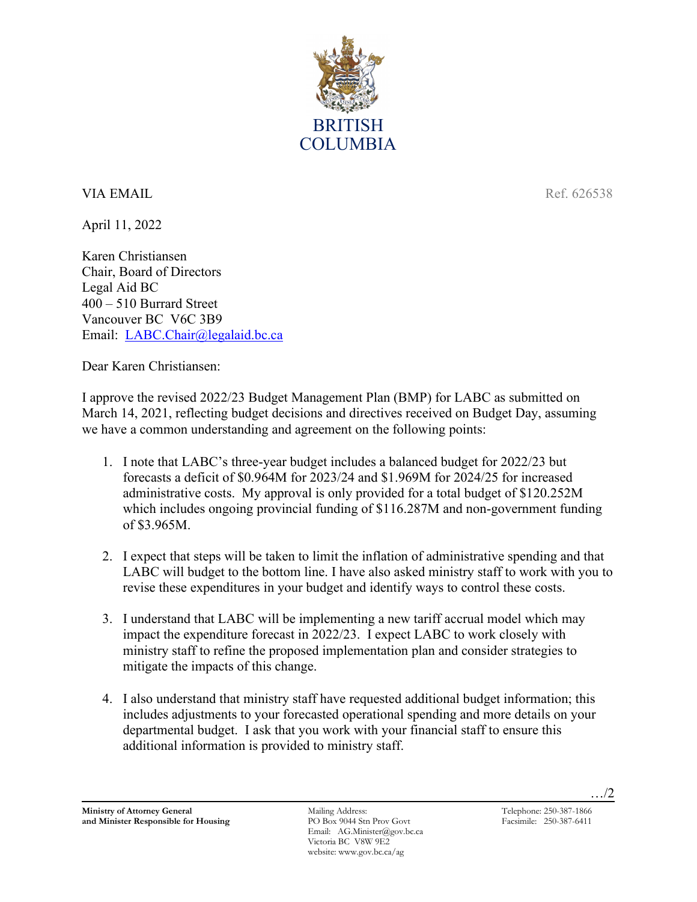

## **VIA EMAIL** Ref. 626538

April 11, 2022

Karen Christiansen Chair, Board of Directors Legal Aid BC 400 – 510 Burrard Street Vancouver BC V6C 3B9 Email: [LABC.Chair@legalaid.bc.ca](mailto:LABC.Chair@legalaid.bc.ca)

Dear Karen Christiansen:

I approve the revised 2022/23 Budget Management Plan (BMP) for LABC as submitted on March 14, 2021, reflecting budget decisions and directives received on Budget Day, assuming we have a common understanding and agreement on the following points:

- 1. I note that LABC's three-year budget includes a balanced budget for 2022/23 but forecasts a deficit of \$0.964M for 2023/24 and \$1.969M for 2024/25 for increased administrative costs. My approval is only provided for a total budget of \$120.252M which includes ongoing provincial funding of \$116.287M and non-government funding of \$3.965M.
- 2. I expect that steps will be taken to limit the inflation of administrative spending and that LABC will budget to the bottom line. I have also asked ministry staff to work with you to revise these expenditures in your budget and identify ways to control these costs.
- 3. I understand that LABC will be implementing a new tariff accrual model which may impact the expenditure forecast in 2022/23. I expect LABC to work closely with ministry staff to refine the proposed implementation plan and consider strategies to mitigate the impacts of this change.
- 4. I also understand that ministry staff have requested additional budget information; this includes adjustments to your forecasted operational spending and more details on your departmental budget. I ask that you work with your financial staff to ensure this additional information is provided to ministry staff.

Email: AG.Minister@gov.bc.ca Victoria BC V8W 9E2 website: www.gov.bc.ca/ag

…/2